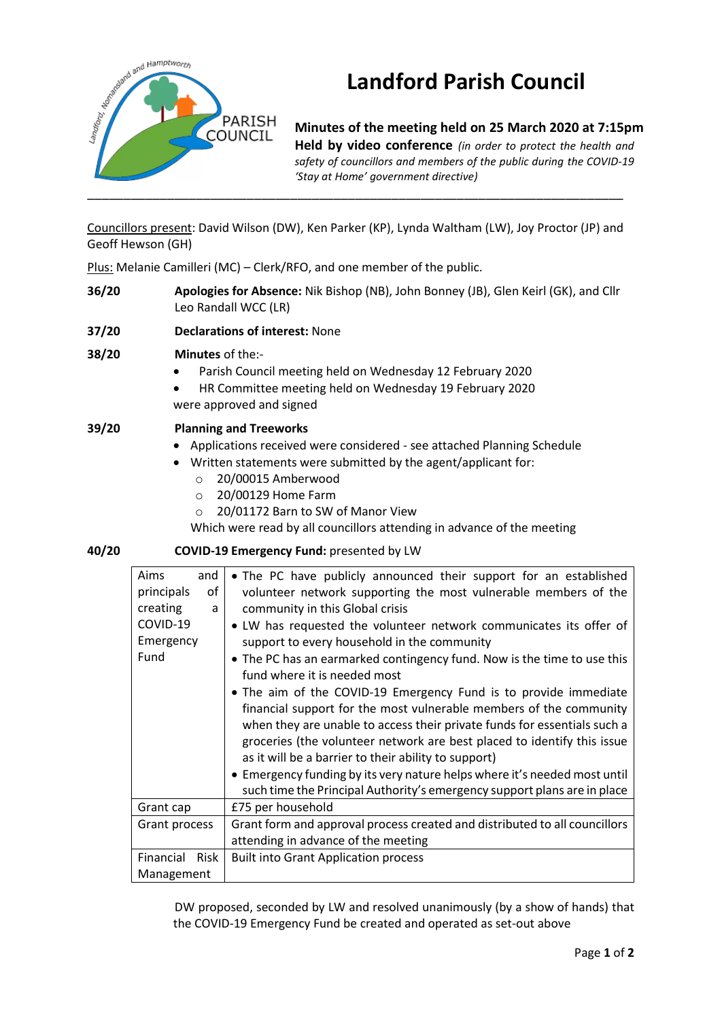

# **Landford Parish Council**

**Minutes of the meeting held on 25 March 2020 at 7:15pm Held by video conference** *(in order to protect the health and safety of councillors and members of the public during the COVID-19 'Stay at Home' government directive)* 

Councillors present: David Wilson (DW), Ken Parker (KP), Lynda Waltham (LW), Joy Proctor (JP) and Geoff Hewson (GH)

Plus: Melanie Camilleri (MC) – Clerk/RFO, and one member of the public.

- **36/20 Apologies for Absence:** Nik Bishop (NB), John Bonney (JB), Glen Keirl (GK), and Cllr Leo Randall WCC (LR)
- **37/20 Declarations of interest:** None

## **38/20 Minutes** of the:-

- Parish Council meeting held on Wednesday 12 February 2020
- HR Committee meeting held on Wednesday 19 February 2020 were approved and signed

## **39/20 Planning and Treeworks**

- Applications received were considered see attached Planning Schedule
- Written statements were submitted by the agent/applicant for:
	- o 20/00015 Amberwood
	- o 20/00129 Home Farm
	- o 20/01172 Barn to SW of Manor View

Which were read by all councillors attending in advance of the meeting

#### **40/20 COVID-19 Emergency Fund:** presented by LW

| Aims<br>and              | • The PC have publicly announced their support for an established          |
|--------------------------|----------------------------------------------------------------------------|
| principals<br>οf         | volunteer network supporting the most vulnerable members of the            |
| creating<br>a            | community in this Global crisis                                            |
| COVID-19                 | • LW has requested the volunteer network communicates its offer of         |
| Emergency                | support to every household in the community                                |
| Fund                     | • The PC has an earmarked contingency fund. Now is the time to use this    |
|                          | fund where it is needed most                                               |
|                          | • The aim of the COVID-19 Emergency Fund is to provide immediate           |
|                          | financial support for the most vulnerable members of the community         |
|                          | when they are unable to access their private funds for essentials such a   |
|                          | groceries (the volunteer network are best placed to identify this issue    |
|                          | as it will be a barrier to their ability to support)                       |
|                          | • Emergency funding by its very nature helps where it's needed most until  |
|                          | such time the Principal Authority's emergency support plans are in place   |
| Grant cap                | £75 per household                                                          |
| Grant process            | Grant form and approval process created and distributed to all councillors |
|                          | attending in advance of the meeting                                        |
| Financial<br><b>Risk</b> | <b>Built into Grant Application process</b>                                |
| Management               |                                                                            |

DW proposed, seconded by LW and resolved unanimously (by a show of hands) that the COVID-19 Emergency Fund be created and operated as set-out above